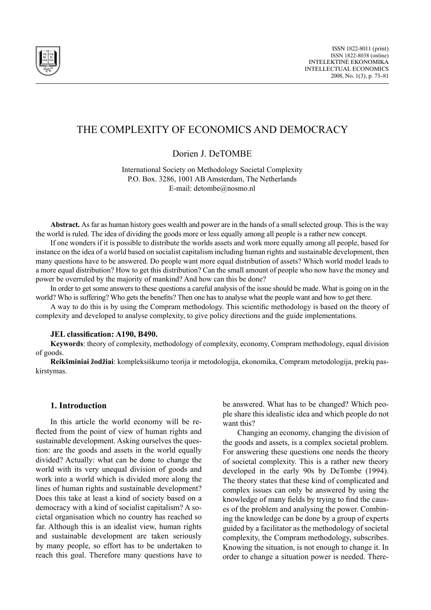

# The complexity of economics and democracy

# Dorien J. DeTOMBE

International Society on Methodology Societal Complexity P.O. Box. 3286, 1001 AB Amsterdam, The Netherlands E-mail: detombe@nosmo.nl

**Abstract.** As far as human history goes wealth and power are in the hands of a small selected group. This is the way the world is ruled. The idea of dividing the goods more or less equally among all people is a rather new concept.

If one wonders if it is possible to distribute the worlds assets and work more equally among all people, based for instance on the idea of a world based on socialist capitalism including human rights and sustainable development, then many questions have to be answered. Do people want more equal distribution of assets? Which world model leads to a more equal distribution? How to get this distribution? Can the small amount of people who now have the money and power be overruled by the majority of mankind? And how can this be done?

In order to get some answers to these questions a careful analysis of the issue should be made. What is going on in the world? Who is suffering? Who gets the benefits? Then one has to analyse what the people want and how to get there.

A way to do this is by using the Compram methodology. This scientific methodology is based on the theory of complexity and developed to analyse complexity, to give policy directions and the guide implementations.

### **JEL classification: A190, B490.**

**Keywords**: theory of complexity, methodology of complexity, economy, Compram methodology, equal division of goods.

**Reikšminiai žodžiai**: kompleksiškumo teorija ir metodologija, ekonomika, Compram metodologija, prekių paskirstymas.

# **1. Introduction**

In this article the world economy will be reflected from the point of view of human rights and sustainable development. Asking ourselves the question: are the goods and assets in the world equally divided? Actually: what can be done to change the world with its very unequal division of goods and work into a world which is divided more along the lines of human rights and sustainable development? Does this take at least a kind of society based on a democracy with a kind of socialist capitalism? A societal organisation which no country has reached so far. Although this is an idealist view, human rights and sustainable development are taken seriously by many people, so effort has to be undertaken to reach this goal. Therefore many questions have to be answered. What has to be changed? Which people share this idealistic idea and which people do not want this?

Changing an economy, changing the division of the goods and assets, is a complex societal problem. For answering these questions one needs the theory of societal complexity. This is a rather new theory developed in the early 90s by DeTombe (1994). The theory states that these kind of complicated and complex issues can only be answered by using the knowledge of many fields by trying to find the causes of the problem and analysing the power. Combining the knowledge can be done by a group of experts guided by a facilitator as the methodology of societal complexity, the Compram methodology, subscribes. Knowing the situation, is not enough to change it. In order to change a situation power is needed. There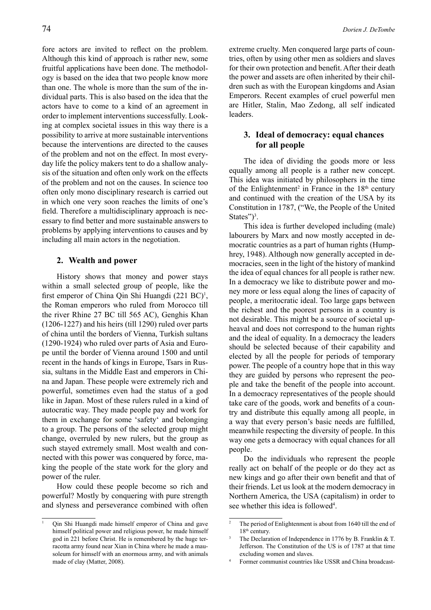fore actors are invited to reflect on the problem. Although this kind of approach is rather new, some fruitful applications have been done. The methodology is based on the idea that two people know more than one. The whole is more than the sum of the individual parts. This is also based on the idea that the actors have to come to a kind of an agreement in order to implement interventions successfully. Looking at complex societal issues in this way there is a possibility to arrive at more sustainable interventions because the interventions are directed to the causes of the problem and not on the effect. In most everyday life the policy makers tent to do a shallow analysis of the situation and often only work on the effects of the problem and not on the causes. In science too often only mono disciplinary research is carried out in which one very soon reaches the limits of one's field. Therefore a multidisciplinary approach is necessary to find better and more sustainable answers to problems by applying interventions to causes and by including all main actors in the negotiation.

# **2. Wealth and power**

History shows that money and power stays within a small selected group of people, like the first emperor of China Qin Shi Huangdi (221 BC)<sup>1</sup>, the Roman emperors who ruled from Morocco till the river Rhine 27 BC till 565 AC), Genghis Khan (1206-1227) and his heirs (till 1290) ruled over parts of china until the borders of Vienna, Turkish sultans (1290-1924) who ruled over parts of Asia and Europe until the border of Vienna around 1500 and until recent in the hands of kings in Europe, Tsars in Russia, sultans in the Middle East and emperors in China and Japan. These people were extremely rich and powerful, sometimes even had the status of a god like in Japan. Most of these rulers ruled in a kind of autocratic way. They made people pay and work for them in exchange for some 'safety' and belonging to a group. The persons of the selected group might change, overruled by new rulers, but the group as such stayed extremely small. Most wealth and connected with this power was conquered by force, making the people of the state work for the glory and power of the ruler.

How could these people become so rich and powerful? Mostly by conquering with pure strength and slyness and perseverance combined with often extreme cruelty. Men conquered large parts of countries, often by using other men as soldiers and slaves for their own protection and benefit. After their death the power and assets are often inherited by their children such as with the European kingdoms and Asian Emperors. Recent examples of cruel powerful men are Hitler, Stalin, Mao Zedong, all self indicated leaders.

# **3. Ideal of democracy: equal chances for all people**

The idea of dividing the goods more or less equally among all people is a rather new concept. This idea was initiated by philosophers in the time of the Enlightenment<sup>2</sup> in France in the  $18<sup>th</sup>$  century and continued with the creation of the USA by its Constitution in 1787, ("We, the People of the United States")<sup>3</sup>.

This idea is further developed including (male) labourers by Marx and now mostly accepted in democratic countries as a part of human rights (Humphrey, 1948). Although now generally accepted in democracies, seen in the light of the history of mankind the idea of equal chances for all people is rather new. In a democracy we like to distribute power and money more or less equal along the lines of capacity of people, a meritocratic ideal. Too large gaps between the richest and the poorest persons in a country is not desirable. This might be a source of societal upheaval and does not correspond to the human rights and the ideal of equality. In a democracy the leaders should be selected because of their capability and elected by all the people for periods of temporary power. The people of a country hope that in this way they are guided by persons who represent the people and take the benefit of the people into account. In a democracy representatives of the people should take care of the goods, work and benefits of a country and distribute this equally among all people, in a way that every person's basic needs are fulfilled, meanwhile respecting the diversity of people. In this way one gets a democracy with equal chances for all people.

Do the individuals who represent the people really act on behalf of the people or do they act as new kings and go after their own benefit and that of their friends. Let us look at the modern democracy in Northern America, the USA (capitalism) in order to see whether this idea is followed<sup>4</sup>.

<sup>1</sup> Qin Shi Huangdi made himself emperor of China and gave himself political power and religious power, he made himself god in 221 before Christ. He is remembered by the huge terracotta army found near Xian in China where he made a mausoleum for himself with an enormous army, and with animals made of clay (Matter, 2008).

The period of Enlightenment is about from 1640 till the end of 18<sup>th</sup> century.

The Declaration of Independence in 1776 by B. Franklin & T. Jefferson. The Constitution of the US is of 1787 at that time excluding women and slaves.

<sup>4</sup> Former communist countries like USSR and China broadcast-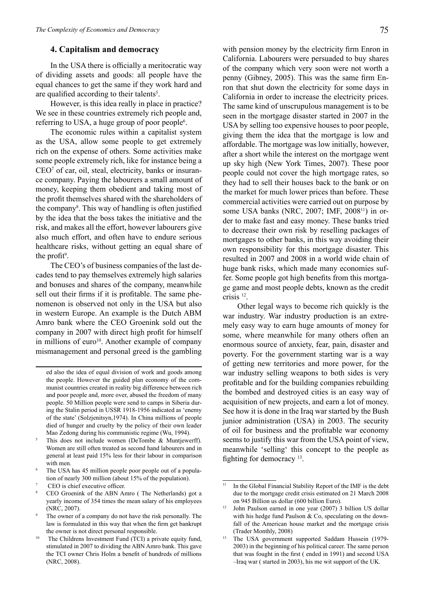### **4. Capitalism and democracy**

In the USA there is officially a meritocratic way of dividing assets and goods: all people have the equal chances to get the same if they work hard and are qualified according to their talents<sup>5</sup>.

However, is this idea really in place in practice? We see in these countries extremely rich people and, referring to USA, a huge group of poor people<sup>6</sup>.

The economic rules within a capitalist system as the USA, allow some people to get extremely rich on the expense of others. Some activities make some people extremely rich, like for instance being a CEO7 of car, oil, steal, electricity, banks or insurance company. Paying the labourers a small amount of money, keeping them obedient and taking most of the profit themselves shared with the shareholders of the company8 . This way of handling is often justified by the idea that the boss takes the initiative and the risk, and makes all the effort, however labourers give also much effort, and often have to endure serious healthcare risks, without getting an equal share of the profit<sup>9</sup>.

The CEO's of business companies of the last decades tend to pay themselves extremely high salaries and bonuses and shares of the company, meanwhile sell out their firms if it is profitable. The same phenomenon is observed not only in the USA but also in western Europe. An example is the Dutch ABM Amro bank where the CEO Groenink sold out the company in 2007 with direct high profit for himself in millions of euro<sup>10</sup>. Another example of company mismanagement and personal greed is the gambling

CEO is chief executive officer.

with pension money by the electricity firm Enron in California. Labourers were persuaded to buy shares of the company which very soon were not worth a penny (Gibney, 2005). This was the same firm Enron that shut down the electricity for some days in California in order to increase the electricity prices. The same kind of unscrupulous management is to be seen in the mortgage disaster started in 2007 in the USA by selling too expensive houses to poor people, giving them the idea that the mortgage is low and affordable. The mortgage was low initially, however, after a short while the interest on the mortgage went up sky high (New York Times, 2007). These poor people could not cover the high mortgage rates, so they had to sell their houses back to the bank or on the market for much lower prices than before. These commercial activities were carried out on purpose by some USA banks (NRC, 2007; IMF, 2008<sup>11</sup>) in order to make fast and easy money. These banks tried to decrease their own risk by reselling packages of mortgages to other banks, in this way avoiding their own responsibility for this mortgage disaster. This resulted in 2007 and 2008 in a world wide chain of huge bank risks, which made many economies suffer. Some people got high benefits from this mortgage game and most people debts, known as the credit crisis 12.

Other legal ways to become rich quickly is the war industry. War industry production is an extremely easy way to earn huge amounts of money for some, where meanwhile for many others often an enormous source of anxiety, fear, pain, disaster and poverty. For the government starting war is a way of getting new territories and more power, for the war industry selling weapons to both sides is very profitable and for the building companies rebuilding the bombed and destroyed cities is an easy way of acquisition of new projects, and earn a lot of money. See how it is done in the Iraq war started by the Bush junior administration (USA) in 2003. The security of oil for business and the profitable war economy seems to justify this war from the USA point of view, meanwhile 'selling' this concept to the people as fighting for democracy 13.

ed also the idea of equal division of work and goods among the people. However the guided plan economy of the communist countries created in reality big difference between rich and poor people and, more over, abused the freedom of many people. 50 Million people were send to camps in Siberia during the Stalin period in USSR 1918-1956 indicated as 'enemy of the state' (Solzjenitsyn,1974). In China millions of people died of hunger and cruelty by the policy of their own leader Mao Zedong during his communistic regime (Wu, 1994).<br>This does not include women (DeTombe & Muntjewerff).

Women are still often treated as second hand labourers and in general at least paid 15% less for their labour in comparison with men.<br>The USA has 45 million people poor people out of a popula-

tion of nearly 300 million (about 15% of the population).

<sup>8</sup> CEO Groenink of the ABN Amro ( The Netherlands) got a yearly income of 354 times the mean salary of his employees (NRC, 2007).

The owner of a company do not have the risk personally. The law is formulated in this way that when the firm get bankrupt the owner is not direct personal responsible.

<sup>&</sup>lt;sup>10</sup> The Childrens Investment Fund (TCI) a private equity fund, stimulated in 2007 to dividing the ABN Amro bank. This gave the TCI owner Chris Holm a benefit of hundreds of millions (NRC, 2008).

<sup>&</sup>lt;sup>11</sup> In the Global Financial Stability Report of the IMF is the debt due to the mortgage credit crisis estimated on 21 March 2008 on 945 Billion us dollar (600 billion Euro). 12 John Paulson earned in one year (2007) 3 billion US dollar

with his hedge fund Paulson & Co, speculating on the downfall of the American house market and the mortgage crisis (Trader Monthly, 2008)

<sup>&</sup>lt;sup>13</sup> The USA government supported Saddam Hussein (1979-2003) in the beginning of his political career. The same person that was fought in the first ( ended in 1991) and second USA –Iraq war ( started in 2003), his me wit support of the UK.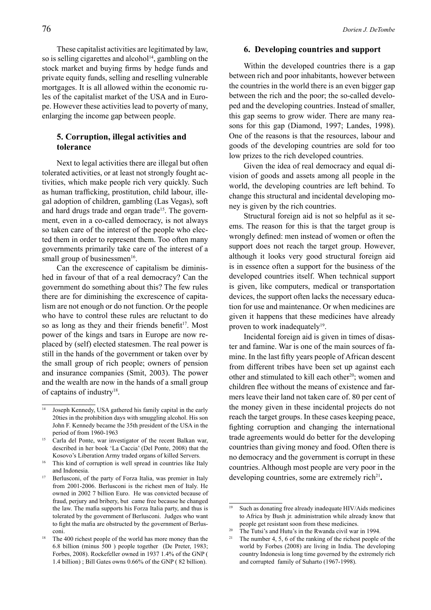These capitalist activities are legitimated by law, so is selling cigarettes and alcohol<sup>14</sup>, gambling on the stock market and buying firms by hedge funds and private equity funds, selling and reselling vulnerable mortgages. It is all allowed within the economic rules of the capitalist market of the USA and in Europe. However these activities lead to poverty of many, enlarging the income gap between people.

# **5. Corruption, illegal activities and tolerance**

Next to legal activities there are illegal but often tolerated activities, or at least not strongly fought activities, which make people rich very quickly. Such as human trafficking, prostitution, child labour, illegal adoption of children, gambling (Las Vegas), soft and hard drugs trade and organ trade<sup>15</sup>. The government, even in a co-called democracy, is not always so taken care of the interest of the people who elected them in order to represent them. Too often many governments primarily take care of the interest of a small group of businessmen $16$ .

Can the excrescence of capitalism be diminished in favour of that of a real democracy? Can the government do something about this? The few rules there are for diminishing the excrescence of capitalism are not enough or do not function. Or the people who have to control these rules are reluctant to do so as long as they and their friends benefit<sup>17</sup>. Most power of the kings and tsars in Europe are now replaced by (self) elected statesmen. The real power is still in the hands of the government or taken over by the small group of rich people; owners of pension and insurance companies (Smit, 2003). The power and the wealth are now in the hands of a small group of captains of industry18.

## **6. Developing countries and support**

Within the developed countries there is a gap between rich and poor inhabitants, however between the countries in the world there is an even bigger gap between the rich and the poor; the so-called developed and the developing countries. Instead of smaller, this gap seems to grow wider. There are many reasons for this gap (Diamond, 1997; Landes, 1998). One of the reasons is that the resources, labour and goods of the developing countries are sold for too low prizes to the rich developed countries.

Given the idea of real democracy and equal division of goods and assets among all people in the world, the developing countries are left behind. To change this structural and incidental developing money is given by the rich countries.

Structural foreign aid is not so helpful as it seems. The reason for this is that the target group is wrongly defined: men instead of women or often the support does not reach the target group. However, although it looks very good structural foreign aid is in essence often a support for the business of the developed countries itself. When technical support is given, like computers, medical or transportation devices, the support often lacks the necessary education for use and maintenance. Or when medicines are given it happens that these medicines have already proven to work inadequately $19$ .

Incidental foreign aid is given in times of disaster and famine. War is one of the main sources of famine. In the last fifty years people of African descent from different tribes have been set up against each other and stimulated to kill each other<sup>20</sup>; women and children flee without the means of existence and farmers leave their land not taken care of. 80 per cent of the money given in these incidental projects do not reach the target groups. In these cases keeping peace, fighting corruption and changing the international trade agreements would do better for the developing countries than giving money and food. Often there is no democracy and the government is corrupt in these countries. Although most people are very poor in the developing countries, some are extremely rich<sup>21</sup>.

<sup>&</sup>lt;sup>14</sup> Joseph Kennedy, USA gathered his family capital in the early 20ties in the prohibition days with smuggling alcohol. His son John F. Kennedy became the 35th president of the USA in the period of from 1960-1963

<sup>&</sup>lt;sup>15</sup> Carla del Ponte, war investigator of the recent Balkan war, described in her book 'La Caccia' (Del Ponte, 2008) that the Kosovo's Liberation Army traded organs of killed Servers.

This kind of corruption is well spread in countries like Italy and Indonesia. 17 Berlusconi, of the party of Forza Italia, was premier in Italy

from 2001-2006. Berlusconi is the richest men of Italy. He owned in 2002 7 billion Euro. He was convicted because of fraud, perjury and bribery, but came free because he changed the law. The mafia supports his Forza Italia party, and thus is tolerated by the government of Berlusconi. Judges who want to fight the mafia are obstructed by the government of Berlusconi.<br><sup>18</sup> The 400 richest people of the world has more money than the

<sup>6.8</sup> billion (minus 500 ) people together (De Preter, 1983; Forbes, 2008). Rockefeller owned in 1937 1.4% of the GNP ( 1.4 billion) ; Bill Gates owns 0.66% of the GNP ( 82 billion).

Such as donating free already inadequate HIV/Aids medicines to Africa by Bush jr. administration while already know that people get resistant soon from these medicines.<br><sup>20</sup> The Tutsi's and Hutu's in the Rwanda civil war in 1994.

The number 4, 5, 6 of the ranking of the richest people of the world by Forbes (2008) are living in India. The developing country Indonesia is long time governed by the extremely rich and corrupted family of Suharto (1967-1998).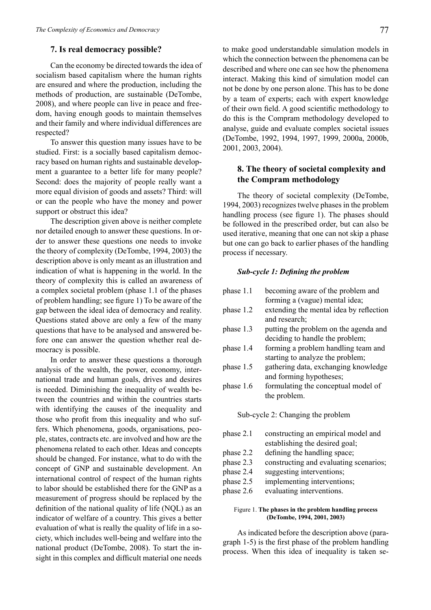# **7. Is real democracy possible?**

Can the economy be directed towards the idea of socialism based capitalism where the human rights are ensured and where the production, including the methods of production, are sustainable (DeTombe, 2008), and where people can live in peace and freedom, having enough goods to maintain themselves and their family and where individual differences are respected?

To answer this question many issues have to be studied. First: is a socially based capitalism democracy based on human rights and sustainable development a guarantee to a better life for many people? Second: does the majority of people really want a more equal division of goods and assets? Third: will or can the people who have the money and power support or obstruct this idea?

The description given above is neither complete nor detailed enough to answer these questions. In order to answer these questions one needs to invoke the theory of complexity (DeTombe, 1994, 2003) the description above is only meant as an illustration and indication of what is happening in the world. In the theory of complexity this is called an awareness of a complex societal problem (phase 1.1 of the phases of problem handling; see figure 1) To be aware of the gap between the ideal idea of democracy and reality. Questions stated above are only a few of the many questions that have to be analysed and answered before one can answer the question whether real democracy is possible.

In order to answer these questions a thorough analysis of the wealth, the power, economy, international trade and human goals, drives and desires is needed. Diminishing the inequality of wealth between the countries and within the countries starts with identifying the causes of the inequality and those who profit from this inequality and who suffers. Which phenomena, goods, organisations, people, states, contracts etc. are involved and how are the phenomena related to each other. Ideas and concepts should be changed. For instance, what to do with the concept of GNP and sustainable development. An international control of respect of the human rights to labor should be established there for the GNP as a measurement of progress should be replaced by the definition of the national quality of life (NQL) as an indicator of welfare of a country. This gives a better evaluation of what is really the quality of life in a society, which includes well-being and welfare into the national product (DeTombe, 2008). To start the insight in this complex and difficult material one needs to make good understandable simulation models in which the connection between the phenomena can be described and where one can see how the phenomena interact. Making this kind of simulation model can not be done by one person alone. This has to be done by a team of experts; each with expert knowledge of their own field. A good scientific methodology to do this is the Compram methodology developed to analyse, guide and evaluate complex societal issues (DeTombe, 1992, 1994, 1997, 1999, 2000a, 2000b, 2001, 2003, 2004).

# **8. The theory of societal complexity and the Compram methodology**

The theory of societal complexity (DeTombe, 1994, 2003) recognizes twelve phases in the problem handling process (see figure 1). The phases should be followed in the prescribed order, but can also be used iterative, meaning that one can not skip a phase but one can go back to earlier phases of the handling process if necessary.

#### *Sub-cycle 1: Defining the problem*

| phase 1.1   | becoming aware of the problem and       |
|-------------|-----------------------------------------|
|             | forming a (vague) mental idea;          |
| phase 1.2   | extending the mental idea by reflection |
|             | and research;                           |
| phase 1.3   | putting the problem on the agenda and   |
|             | deciding to handle the problem;         |
| phase 1.4   | forming a problem handling team and     |
|             | starting to analyze the problem;        |
| phase 1.5   | gathering data, exchanging knowledge    |
|             | and forming hypotheses;                 |
| phase $1.6$ | formulating the conceptual model of     |
|             | the problem.                            |
|             |                                         |

Sub-cycle 2: Changing the problem

| phase 2.1 | constructing an empirical model and    |
|-----------|----------------------------------------|
|           | establishing the desired goal;         |
| phase 2.2 | defining the handling space;           |
| phase 2.3 | constructing and evaluating scenarios; |
| phase 2.4 | suggesting interventions;              |
| phase 2.5 | implementing interventions;            |
| phase 2.6 | evaluating interventions.              |
|           |                                        |

#### Figure 1. **The phases in the problem handling process (DeTombe, 1994, 2001, 2003)**

As indicated before the description above (paragraph 1-5) is the first phase of the problem handling process. When this idea of inequality is taken se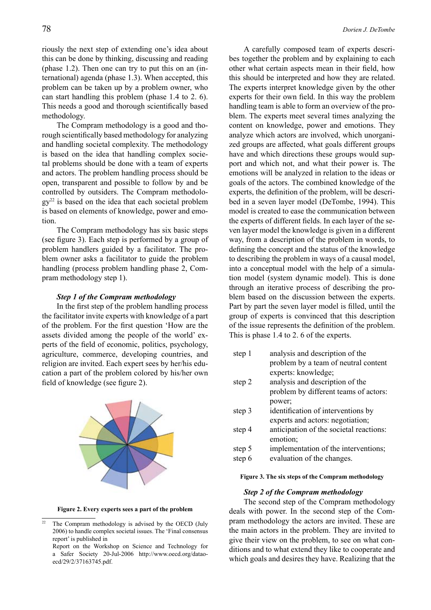riously the next step of extending one's idea about this can be done by thinking, discussing and reading (phase 1.2). Then one can try to put this on an (international) agenda (phase 1.3). When accepted, this problem can be taken up by a problem owner, who can start handling this problem (phase 1.4 to 2. 6). This needs a good and thorough scientifically based methodology.

The Compram methodology is a good and thorough scientifically based methodology for analyzing and handling societal complexity. The methodology is based on the idea that handling complex societal problems should be done with a team of experts and actors. The problem handling process should be open, transparent and possible to follow by and be controlled by outsiders. The Compram methodolo $gy<sup>22</sup>$  is based on the idea that each societal problem is based on elements of knowledge, power and emotion.

The Compram methodology has six basic steps (see figure 3). Each step is performed by a group of problem handlers guided by a facilitator. The problem owner asks a facilitator to guide the problem handling (process problem handling phase 2, Compram methodology step 1).

### *Step 1 of the Compram methodology*

In the first step of the problem handling process the facilitator invite experts with knowledge of a part of the problem. For the first question 'How are the assets divided among the people of the world' experts of the field of economic, politics, psychology, agriculture, commerce, developing countries, and religion are invited. Each expert sees by her/his education a part of the problem colored by his/her own field of knowledge (see figure 2).



**Figure 2. Every experts sees a part of the problem**

A carefully composed team of experts describes together the problem and by explaining to each other what certain aspects mean in their field, how this should be interpreted and how they are related. The experts interpret knowledge given by the other experts for their own field. In this way the problem handling team is able to form an overview of the problem. The experts meet several times analyzing the content on knowledge, power and emotions. They analyze which actors are involved, which unorganized groups are affected, what goals different groups have and which directions these groups would support and which not, and what their power is. The emotions will be analyzed in relation to the ideas or goals of the actors. The combined knowledge of the experts, the definition of the problem, will be described in a seven layer model (DeTombe, 1994). This model is created to ease the communication between the experts of different fields. In each layer of the seven layer model the knowledge is given in a different way, from a description of the problem in words, to defining the concept and the status of the knowledge to describing the problem in ways of a causal model, into a conceptual model with the help of a simulation model (system dynamic model). This is done through an iterative process of describing the problem based on the discussion between the experts. Part by part the seven layer model is filled, until the group of experts is convinced that this description of the issue represents the definition of the problem. This is phase 1.4 to 2. 6 of the experts.

| step 1 | analysis and description of the         |
|--------|-----------------------------------------|
|        | problem by a team of neutral content    |
|        | experts: knowledge;                     |
| step 2 | analysis and description of the         |
|        | problem by different teams of actors:   |
|        | power;                                  |
| step 3 | identification of interventions by      |
|        | experts and actors: negotiation;        |
| step 4 | anticipation of the societal reactions: |
|        | emotion;                                |
| step 5 | implementation of the interventions;    |
| step 6 | evaluation of the changes.              |
|        |                                         |

#### **Figure 3. The six steps of the Compram methodology**

#### *Step 2 of the Compram methodology*

The second step of the Compram methodology deals with power. In the second step of the Compram methodology the actors are invited. These are the main actors in the problem. They are invited to give their view on the problem, to see on what conditions and to what extend they like to cooperate and which goals and desires they have. Realizing that the

<sup>&</sup>lt;sup>22</sup> The Compram methodology is advised by the OECD (July 2006) to handle complex societal issues. The 'Final consensus report' is published in

Report on the Workshop on Science and Technology for a Safer Society 20-Jul-2006 http://www.oecd.org/dataoecd/29/2/37163745.pdf.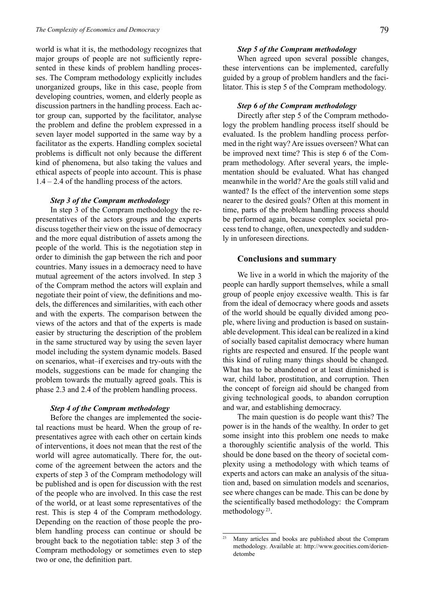world is what it is, the methodology recognizes that major groups of people are not sufficiently represented in these kinds of problem handling processes. The Compram methodology explicitly includes unorganized groups, like in this case, people from developing countries, women, and elderly people as discussion partners in the handling process. Each actor group can, supported by the facilitator, analyse the problem and define the problem expressed in a seven layer model supported in the same way by a facilitator as the experts. Handling complex societal problems is difficult not only because the different kind of phenomena, but also taking the values and ethical aspects of people into account. This is phase  $1.4 - 2.4$  of the handling process of the actors.

#### *Step 3 of the Compram methodology*

In step 3 of the Compram methodology the representatives of the actors groups and the experts discuss together their view on the issue of democracy and the more equal distribution of assets among the people of the world. This is the negotiation step in order to diminish the gap between the rich and poor countries. Many issues in a democracy need to have mutual agreement of the actors involved. In step 3 of the Compram method the actors will explain and negotiate their point of view, the definitions and models, the differences and similarities, with each other and with the experts. The comparison between the views of the actors and that of the experts is made easier by structuring the description of the problem in the same structured way by using the seven layer model including the system dynamic models. Based on scenarios, what–if exercises and try-outs with the models, suggestions can be made for changing the problem towards the mutually agreed goals. This is phase 2.3 and 2.4 of the problem handling process.

#### *Step 4 of the Compram methodology*

Before the changes are implemented the societal reactions must be heard. When the group of representatives agree with each other on certain kinds of interventions, it does not mean that the rest of the world will agree automatically. There for, the outcome of the agreement between the actors and the experts of step 3 of the Compram methodology will be published and is open for discussion with the rest of the people who are involved. In this case the rest of the world, or at least some representatives of the rest. This is step 4 of the Compram methodology. Depending on the reaction of those people the problem handling process can continue or should be brought back to the negotiation table: step 3 of the Compram methodology or sometimes even to step two or one, the definition part.

When agreed upon several possible changes, these interventions can be implemented, carefully guided by a group of problem handlers and the facilitator. This is step 5 of the Compram methodology.

#### *Step 6 of the Compram methodology*

Directly after step 5 of the Compram methodology the problem handling process itself should be evaluated. Is the problem handling process performed in the right way? Are issues overseen? What can be improved next time? This is step 6 of the Compram methodology. After several years, the implementation should be evaluated. What has changed meanwhile in the world? Are the goals still valid and wanted? Is the effect of the intervention some steps nearer to the desired goals? Often at this moment in time, parts of the problem handling process should be performed again, because complex societal process tend to change, often, unexpectedly and suddenly in unforeseen directions.

### **Conclusions and summary**

We live in a world in which the majority of the people can hardly support themselves, while a small group of people enjoy excessive wealth. This is far from the ideal of democracy where goods and assets of the world should be equally divided among people, where living and production is based on sustainable development. This ideal can be realized in a kind of socially based capitalist democracy where human rights are respected and ensured. If the people want this kind of ruling many things should be changed. What has to be abandoned or at least diminished is war, child labor, prostitution, and corruption. Then the concept of foreign aid should be changed from giving technological goods, to abandon corruption and war, and establishing democracy.

The main question is do people want this? The power is in the hands of the wealthy. In order to get some insight into this problem one needs to make a thoroughly scientific analysis of the world. This should be done based on the theory of societal complexity using a methodology with which teams of experts and actors can make an analysis of the situation and, based on simulation models and scenarios, see where changes can be made. This can be done by the scientifically based methodology: the Compram methodology<sup>23</sup>.

<sup>&</sup>lt;sup>23</sup> Many articles and books are published about the Compram methodology. Available at: http://www.geocities.com/doriendetombe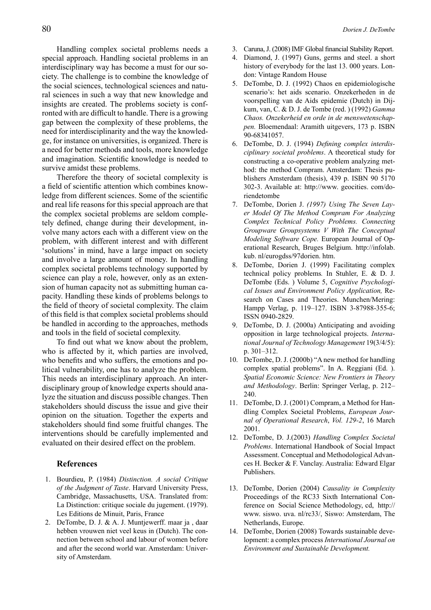Handling complex societal problems needs a special approach. Handling societal problems in an interdisciplinary way has become a must for our society. The challenge is to combine the knowledge of the social sciences, technological sciences and natural sciences in such a way that new knowledge and insights are created. The problems society is confronted with are difficult to handle. There is a growing gap between the complexity of these problems, the need for interdisciplinarity and the way the knowledge, for instance on universities, is organized. There is a need for better methods and tools, more knowledge and imagination. Scientific knowledge is needed to survive amidst these problems.

Therefore the theory of societal complexity is a field of scientific attention which combines knowledge from different sciences. Some of the scientific and real life reasons for this special approach are that the complex societal problems are seldom completely defined, change during their development, involve many actors each with a different view on the problem, with different interest and with different 'solutions' in mind, have a large impact on society and involve a large amount of money. In handling complex societal problems technology supported by science can play a role, however, only as an extension of human capacity not as submitting human capacity. Handling these kinds of problems belongs to the field of theory of societal complexity. The claim of this field is that complex societal problems should be handled in according to the approaches, methods and tools in the field of societal complexity.

To find out what we know about the problem, who is affected by it, which parties are involved, who benefits and who suffers, the emotions and political vulnerability, one has to analyze the problem. This needs an interdisciplinary approach. An interdisciplinary group of knowledge experts should analyze the situation and discuss possible changes. Then stakeholders should discuss the issue and give their opinion on the situation. Together the experts and stakeholders should find some fruitful changes. The interventions should be carefully implemented and evaluated on their desired effect on the problem.

### **References**

- 1. Bourdieu, P. (1984) *Distinction. A social Critique of the Judgment of Taste*. Harvard University Press, Cambridge, Massachusetts, USA. Translated from: La Distinction: critique sociale du jugement. (1979). Les Editions de Minuit, Paris, France
- 2. DeTombe, D. J. & A. J. Muntjewerff. maar ja , daar hebben vrouwen niet veel keus in (Dutch). The connection between school and labour of women before and after the second world war. Amsterdam: University of Amsterdam.
- 3. Caruna, J. (2008) IMF Global financial Stability Report.
- 4. Diamond, J. (1997) Guns, germs and steel. a short history of everybody for the last 13. 000 years. London: Vintage Random House
- 5. DeTombe, D. J. (1992) Chaos en epidemiologische scenario's: het aids scenario. Onzekerheden in de voorspelling van de Aids epidemie (Dutch) in Dijkum, van, C. & D. J. de Tombe (red. ) (1992) *Gamma Chaos. Onzekerheid en orde in de menswetenschappen.* Bloemendaal: Aramith uitgevers, 173 p. ISBN 90-68341057.
- 6. DeTombe, D. J. (1994) *Defining complex interdisciplinary societal problems*. A theoretical study for constructing a co-operative problem analyzing method: the method Compram. Amsterdam: Thesis publishers Amsterdam (thesis), 439 p. ISBN 90 5170 302-3. Available at: http://www. geocities. com/doriendetombe
- 7. DeTombe, Dorien J. *(1997) Using The Seven Layer Model Of The Method Compram For Analyzing Complex Technical Policy Problems. Connecting Groupware Groupsystems V With The Conceptual Modeling Software Cope.* European Journal of Operational Research, Bruges Belgium. http://infolab. kub. nl/eurogdss/97dorien. htm.
- 8. DeTombe, Dorien J. (1999) Facilitating complex technical policy problems*.* In Stuhler, E. & D. J. DeTombe (Eds. ) Volume 5, *Cognitive Psychological Issues and Environment Policy Application,* Research on Cases and Theories. Munchen/Mering: Hampp Verlag, p. 119–127. ISBN 3-87988-355-6; ISSN 0940-2829.
- 9. DeTombe, D. J. (2000a) Anticipating and avoiding opposition in large technological projects. *International Journal of Technology Management* 19(3/4/5): p. 301–312.
- 10. DeTombe, D. J. (2000b) "A new method for handling complex spatial problems". In A. Reggiani (Ed. ). *Spatial Economic Science: New Frontiers in Theory and Methodology*. Berlin: Springer Verlag, p. 212– 240.
- 11. DeTombe, D. J. (2001) Compram, a Method for Handling Complex Societal Problems, *European Journal of Operational Research*, *Vol. 129-2*, 16 March 2001.
- 12. DeTombe, D. J.(2003) *Handling Complex Societal Problems*. International Handbook of Social Impact Assessment. Conceptual and Methodological Advances H. Becker & F. Vanclay. Australia: Edward Elgar Publishers.
- 13. DeTombe, Dorien (2004) *Causality in Complexity* Proceedings of the RC33 Sixth International Conference on Social Science Methodology, cd, http:// www. siswo. uva. nl/rc33/, Siswo: Amsterdam, The Netherlands, Europe.
- 14. DeTombe, Dorien (2008) Towards sustainable development: a complex process *International Journal on Environment and Sustainable Development.*